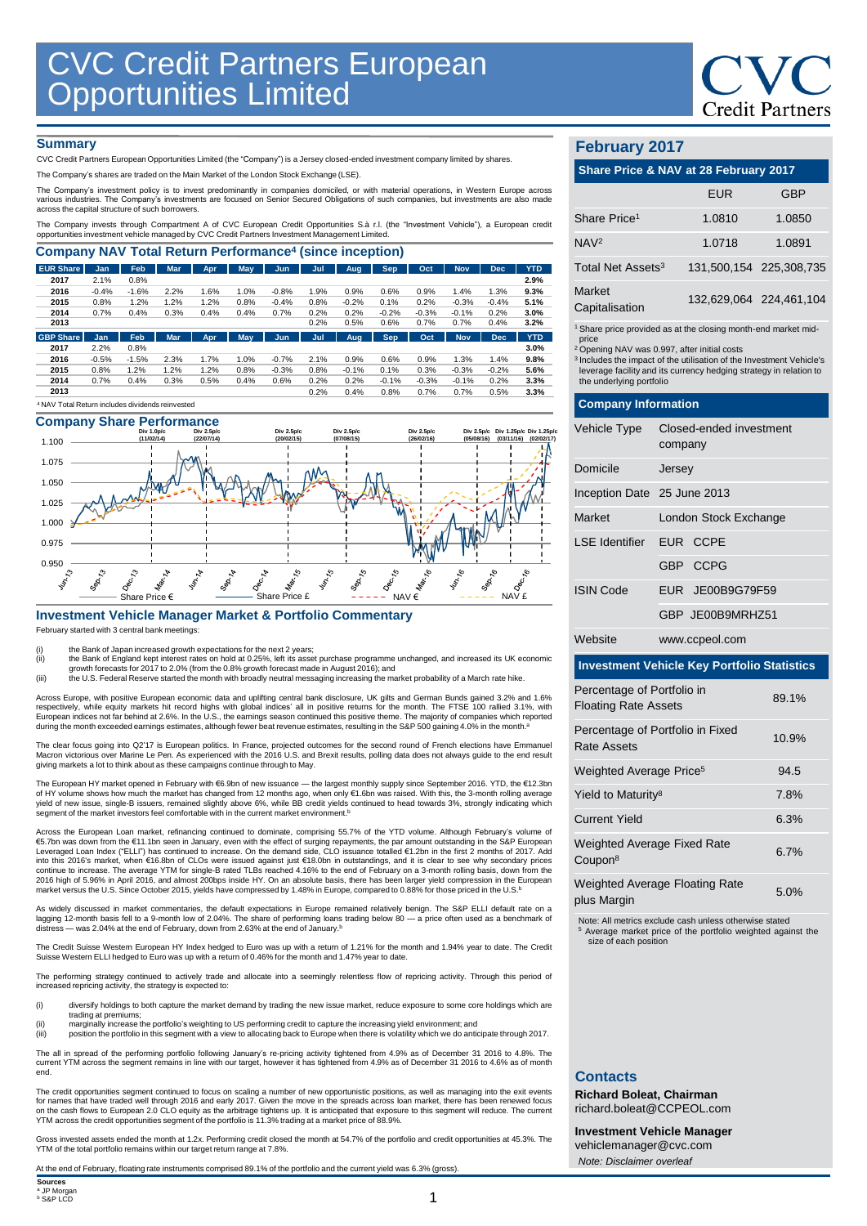

#### **Summary**

CVC Credit Partners European Opportunities Limited (the "Company") is a Jersey closed-ended investment company limited by shares.

The Company's shares are traded on the Main Market of the London Stock Exchange (LSE).

The Company's investment policy is to invest predominantly in companies domiciled, or with material operations, in Westem Europe across<br>various industries. The Company's investments are focused on Senior Secured Obligation

The Company invests through Compartment A of CVC European Credit Opportunities S.à r.l. (the "Investment Vehicle"), a European credit opportunities investment vehicle managed by CVC Credit Partners Investment Management Limited.

| <b>Company NAV Total Return Performance<sup>4</sup> (since inception)</b> |         |         |            |      |            |         |      |         |            |         |            |            |            |
|---------------------------------------------------------------------------|---------|---------|------------|------|------------|---------|------|---------|------------|---------|------------|------------|------------|
| <b>EUR Share</b>                                                          | Jan     | Feb     | <b>Mar</b> | Apr  | May        | Jun     | Jul  | Aug.    | <b>Sep</b> | Oct     | <b>Nov</b> | <b>Dec</b> | <b>YTD</b> |
| 2017                                                                      | 2.1%    | 0.8%    |            |      |            |         |      |         |            |         |            |            | 2.9%       |
| 2016                                                                      | $-0.4%$ | $-1.6%$ | 2.2%       | 1.6% | 1.0%       | $-0.8%$ | 1.9% | 0.9%    | 0.6%       | 0.9%    | 1.4%       | 1.3%       | 9.3%       |
| 2015                                                                      | 0.8%    | 1.2%    | 1.2%       | 1.2% | 0.8%       | $-0.4%$ | 0.8% | $-0.2%$ | 0.1%       | 0.2%    | $-0.3%$    | $-0.4%$    | 5.1%       |
| 2014                                                                      | 0.7%    | 0.4%    | 0.3%       | 0.4% | 0.4%       | 0.7%    | 0.2% | 0.2%    | $-0.2%$    | $-0.3%$ | $-0.1%$    | 0.2%       | 3.0%       |
| 2013                                                                      |         |         |            |      |            |         | 0.2% | 0.5%    | 0.6%       | 0.7%    | 0.7%       | 0.4%       | 3.2%       |
| <b>GBP Share</b>                                                          | Jan     | Feb     | <b>Mar</b> | Apr  | <b>May</b> | Jun     | Jul  | Aug     | <b>Sep</b> | Oct     | <b>Nov</b> | <b>Dec</b> | <b>YTD</b> |
| 2017                                                                      | 2.2%    | 0.8%    |            |      |            |         |      |         |            |         |            |            | 3.0%       |
| 2016                                                                      | $-0.5%$ | $-1.5%$ | 2.3%       | 1.7% | 1.0%       | $-0.7%$ | 2.1% | 0.9%    | 0.6%       | 0.9%    | 1.3%       | 1.4%       | 9.8%       |
| 2015                                                                      | 0.8%    | 1.2%    | 1.2%       | 1.2% | 0.8%       | $-0.3%$ | 0.8% | $-0.1%$ | 0.1%       | 0.3%    | $-0.3%$    | $-0.2%$    | 5.6%       |
| 2014                                                                      | 0.7%    | 0.4%    | 0.3%       | 0.5% | 0.4%       | 0.6%    | 0.2% | 0.2%    | $-0.1%$    | $-0.3%$ | $-0.1%$    | 0.2%       | 3.3%       |
| 2013                                                                      |         |         |            |      |            |         | 0.2% | 0.4%    | 0.8%       | 0.7%    | 0.7%       | 0.5%       | 3.3%       |
| <sup>4</sup> NAV Total Return includes dividends reinvested               |         |         |            |      |            |         |      |         |            |         |            |            |            |

## **Company Share Performance**



## **Investment Vehicle Manager Market & Portfolio Commentary**

February started with 3 central bank meetings:

(i) the Bank of Japan increased growth expectations for the next 2 years;<br>(ii) the Bank of England kept interest rates on hold at 0.25%, left its asset purchase programme unchanged, and increased its UK economic

growth forecasts for 2017 to 2.0% (from the 0.8% growth forecast made in August 2016); and<br>iii) the U.S. Federal Reserve started the month with broadly neutral messaging increasing the market probability of a March rate hi

Across Europe, with positive European economic data and uplifting central bank disclosure, UK gilts and German Bunds gained 3.2% and 1.6%<br>respectively, while equity markets hit record highs with global indices' all in posi during the month exceeded earnings estimates, although fewer beat revenue estimates, resulting in the S&P 500 gaining 4.0% in the month.<sup>8</sup>

The clear focus going into Q217 is European politics. In France, projected outcomes for the second round of French elections have Emmanuel<br>Macron victorious over Marine Le Pen. As experienced with the 2016 U.S. and Brexit

European HY market opened in February with €6.9bn of new issuance — the largest monthly supply since September 2016. YTD, the €12.3bn of HY volume shows how much the market has changed from 12 months ago, when only €1.6bn was raised. With this, the 3-month rolling average<br>yield of new issue, single-B issuers, remained slightly above 6%, while BB credit

Across the European Loan market, refinancing continued to dominate, comprising 55.7% of the YTD volume. Although February's volume of €5.7bn was down from the €11.1bn seen in January, even with the effect of surging repayments, the par amount outstanding in the S&P European<br>Leveraged Loan Index ("ELLI") has continued to increase. On the demand side, CLO into this 2016's market, when €16.8bn of CLOs were issued against just €18.0bn in outstandings, and it is clear to see why secondary prices<br>continue to increase. The average YTM for single-B rated TLBs reached 4.16% to th 2016 high of 5.96% in April 2016, and almost 200bps inside HY. On an absolute basis, there has been larger yield compression in the European market versus the U.S. Since October 2015, yields have compressed by 1.48% in Europe, compared to 0.88% for those priced in the U.S. b

As widely discussed in market commentaries, the default expectations in Europe remained relatively benign. The S&P ELLI default rate on a lagging 12-month basis fell to a 9-month low of 2.04%. The share of performing loans trading below 80 — a price often used as a benchmark of<br>distress — was 2.04% at the end of February, down from 2.63% at the end of Januar

The Credit Suisse Western European HY Index hedged to Euro was up with a return of 1.21% for the month and 1.94% year to date. The Credit<br>Suisse Western ELLI hedged to Euro was up with a return of 0.46% for the month and 1

The performing strategy continued to actively trade and allocate into a seemingly relentless flow of repricing activity. Through this period of increased repricing activity, the strategy is expected to:

(i) diversify holdings to both capture the market demand by trading the new issue market, reduce exposure to some core holdings which are trading at premiums;

(ii) marginally increase the portfolio's weighting to US performing credit to capture the increasing yield environment; and<br>(iii) position the portfolio in this segment with a view to allocating back to Europe when there i

The all in spread of the performing portfolio following January's re-pricing activity tightened from 4.9% as of December 31 2016 to 4.8%. The<br>current YTM across the segment remains in line with our target, however it has t end.

The credit opportunities segment continued to focus on scaling a number of new opportunistic positions, as well as managing into the exit events<br>for names that have traded well through 2016 and early 2017. Given the move i on the cash flows to European 2.0 CLO equity as the arbitrage tightens up. It is anticipated that exposure to this segment will reduce. The current YTM across the credit opportunities segment of the portfolio is 11.3% trading at a market price of 88.9%.

Gross invested assets ended the month at 1.2x. Performing credit closed the month at 54.7% of the portfolio and credit opportunities at 45.3%. The<br>YTM of the total portfolio remains within our target return range at 7.8%.

At the end of February, floating rate instruments comprised 89.1% of the portfolio and the current yield was 6.3% (gross).

## **February 2017**

| Share Price & NAV at 28 February 2017 |            |                         |  |  |  |
|---------------------------------------|------------|-------------------------|--|--|--|
|                                       | <b>EUR</b> | <b>GBP</b>              |  |  |  |
| Share Price <sup>1</sup>              | 1.0810     | 1.0850                  |  |  |  |
| NAV <sup>2</sup>                      | 1.0718     | 1.0891                  |  |  |  |
| Total Net Assets <sup>3</sup>         |            | 131 500 154 225 308 735 |  |  |  |

|                          | $101,000,101$ $120,000,100$ |
|--------------------------|-----------------------------|
| Market<br>Capitalisation | 132,629,064 224,461,104     |

<sup>1</sup> Share price provided as at the closing month-end market mid-

price <sup>2</sup>Opening NAV was 0.997, after initial costs

<sup>3</sup>Includes the impact of the utilisation of the Investment Vehicle's leverage facility and its currency hedging strategy in relation to the underlying portfolio

| <b>Company Information</b>                                         |                                        |                       |  |  |  |
|--------------------------------------------------------------------|----------------------------------------|-----------------------|--|--|--|
| Vehicle Type                                                       | Closed-ended investment<br>company     |                       |  |  |  |
| Domicile                                                           | Jersey                                 |                       |  |  |  |
| Inception Date 25 June 2013                                        |                                        |                       |  |  |  |
| Market                                                             |                                        | London Stock Exchange |  |  |  |
| LSE Identifier                                                     | EUR CCPE                               |                       |  |  |  |
|                                                                    | GBP CCPG                               |                       |  |  |  |
| <b>ISIN Code</b>                                                   | EUR JE00B9G79F59                       |                       |  |  |  |
| GBP JE00B9MRHZ51                                                   |                                        |                       |  |  |  |
| Website                                                            | www.ccpeol.com                         |                       |  |  |  |
| <b>Investment Vehicle Key Portfolio Statistics</b>                 |                                        |                       |  |  |  |
| Percentage of Portfolio in<br>89.1%<br><b>Floating Rate Assets</b> |                                        |                       |  |  |  |
| Percentage of Portfolio in Fixed<br>10.9%<br>Rate Assets           |                                        |                       |  |  |  |
| Weighted Average Price <sup>5</sup><br>94.5                        |                                        |                       |  |  |  |
|                                                                    | Yield to Maturity <sup>8</sup><br>7.8% |                       |  |  |  |

| <b>Current Yield</b>                               | 6.3%     |
|----------------------------------------------------|----------|
| Weighted Average Fixed Rate<br>Coupon <sup>8</sup> | 6.7%     |
| Weighted Average Floating Rate                     | $E_{00}$ |

Note: All metrics exclude cash unless otherwise stated <sup>5</sup> Average market price of the portfolio weighted against the size of each position

## **Contacts**

plus Margin

**Richard Boleat, Chairman**  richard.boleat@CCPEOL.com

**Investment Vehicle Manager** vehiclemanager@cvc.com *Note: Disclaimer overleaf*